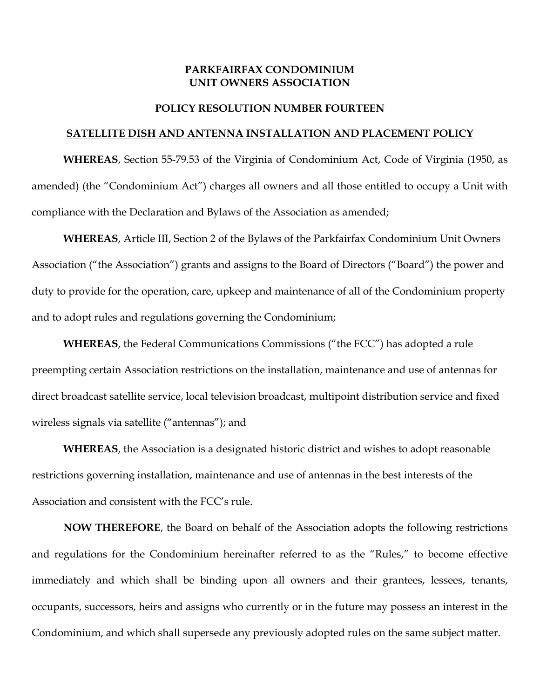#### **PARKFAIRFAX CONDOMINIUM UNIT OWNERS ASSOCIATION**

#### **POLICY RESOLUTION NUMBER FOURTEEN**

#### **SATELLITE DISH AND ANTENNA INSTALLATION AND PLACEMENT POLICY**

**WHEREAS**, Section 55-79.53 of the Virginia of Condominium Act, Code of Virginia (1950, as amended) (the "Condominium Act") charges all owners and all those entitled to occupy a Unit with compliance with the Declaration and Bylaws of the Association as amended;

**WHEREAS**, Article III, Section 2 of the Bylaws of the Parkfairfax Condominium Unit Owners Association ("the Association") grants and assigns to the Board of Directors ("Board") the power and duty to provide for the operation, care, upkeep and maintenance of all of the Condominium property and to adopt rules and regulations governing the Condominium;

**WHEREAS**, the Federal Communications Commissions ("the FCC") has adopted a rule preempting certain Association restrictions on the installation, maintenance and use of antennas for direct broadcast satellite service, local television broadcast, multipoint distribution service and fixed wireless signals via satellite ("antennas"); and

**WHEREAS**, the Association is a designated historic district and wishes to adopt reasonable restrictions governing installation, maintenance and use of antennas in the best interests of the Association and consistent with the FCC's rule.

**NOW THEREFORE**, the Board on behalf of the Association adopts the following restrictions and regulations for the Condominium hereinafter referred to as the "Rules," to become effective immediately and which shall be binding upon all owners and their grantees, lessees, tenants, occupants, successors, heirs and assigns who currently or in the future may possess an interest in the Condominium, and which shall supersede any previously adopted rules on the same subject matter.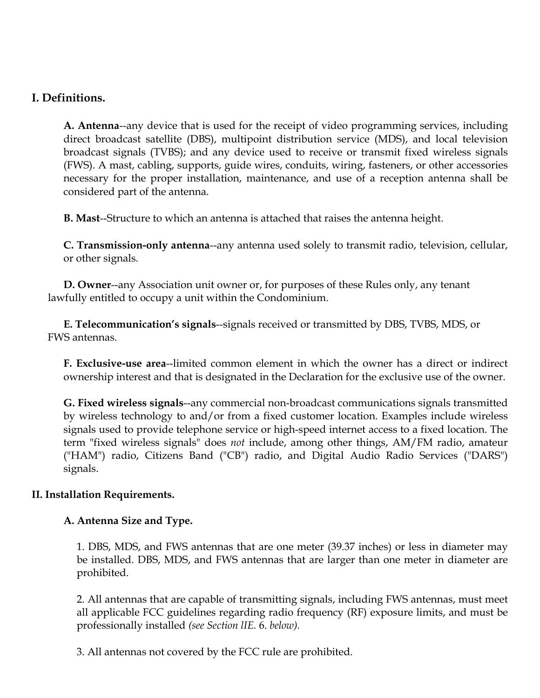# **I. Definitions.**

**A. Antenna**--any device that is used for the receipt of video programming services, including direct broadcast satellite (DBS), multipoint distribution service (MDS), and local television broadcast signals (TVBS); and any device used to receive or transmit fixed wireless signals (FWS). A mast, cabling, supports, guide wires, conduits, wiring, fasteners, or other accessories necessary for the proper installation, maintenance, and use of a reception antenna shall be considered part of the antenna.

**B. Mast**--Structure to which an antenna is attached that raises the antenna height.

**C. Transmission-only antenna**--any antenna used solely to transmit radio, television, cellular, or other signals.

 **D. Owner**--any Association unit owner or, for purposes of these Rules only, any tenant lawfully entitled to occupy a unit within the Condominium.

 **E. Telecommunication's signals**--signals received or transmitted by DBS, TVBS, MDS, or FWS antennas.

**F. Exclusive-use area**--limited common element in which the owner has a direct or indirect ownership interest and that is designated in the Declaration for the exclusive use of the owner.

**G. Fixed wireless signals**--any commercial non-broadcast communications signals transmitted by wireless technology to and/or from a fixed customer location. Examples include wireless signals used to provide telephone service or high-speed internet access to a fixed location. The term "fixed wireless signals" does *not* include, among other things, AM/FM radio, amateur ("HAM") radio, Citizens Band ("CB") radio, and Digital Audio Radio Services ("DARS") signals.

## **II. Installation Requirements.**

## **A. Antenna Size and Type.**

1. DBS, MDS, and FWS antennas that are one meter (39.37 inches) or less in diameter may be installed. DBS, MDS, and FWS antennas that are larger than one meter in diameter are prohibited.

2. All antennas that are capable of transmitting signals, including FWS antennas, must meet all applicable FCC guidelines regarding radio frequency (RF) exposure limits, and must be professionally installed *(see Section lIE.* 6. *below).* 

3. All antennas not covered by the FCC rule are prohibited.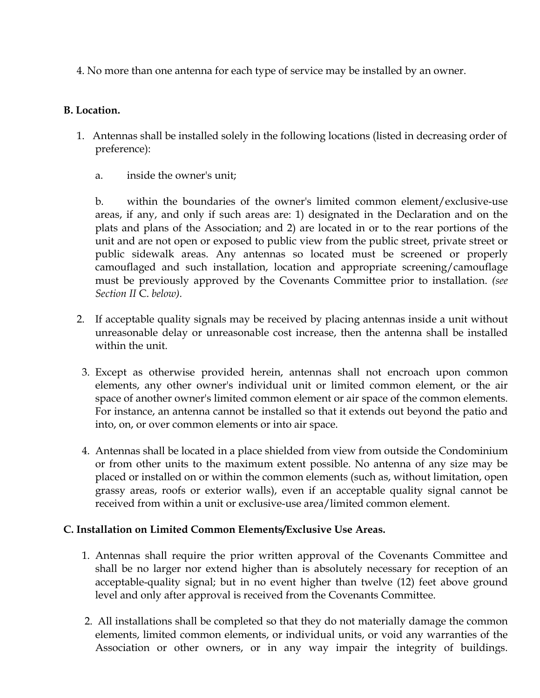4. No more than one antenna for each type of service may be installed by an owner.

## **B. Location.**

- 1. Antennas shall be installed solely in the following locations (listed in decreasing order of preference):
	- a. inside the owner's unit;

b. within the boundaries of the owner's limited common element/exclusive-use areas, if any, and only if such areas are: 1) designated in the Declaration and on the plats and plans of the Association; and 2) are located in or to the rear portions of the unit and are not open or exposed to public view from the public street, private street or public sidewalk areas. Any antennas so located must be screened or properly camouflaged and such installation, location and appropriate screening/camouflage must be previously approved by the Covenants Committee prior to installation. *(see Section II* C. *below).* 

- 2. If acceptable quality signals may be received by placing antennas inside a unit without unreasonable delay or unreasonable cost increase, then the antenna shall be installed within the unit.
- 3. Except as otherwise provided herein, antennas shall not encroach upon common elements, any other owner's individual unit or limited common element, or the air space of another owner's limited common element or air space of the common elements. For instance, an antenna cannot be installed so that it extends out beyond the patio and into, on, or over common elements or into air space.
- 4. Antennas shall be located in a place shielded from view from outside the Condominium or from other units to the maximum extent possible. No antenna of any size may be placed or installed on or within the common elements (such as, without limitation, open grassy areas, roofs or exterior walls), even if an acceptable quality signal cannot be received from within a unit or exclusive-use area/limited common element.

## **C. Installation on Limited Common Elements/Exclusive Use Areas.**

- 1. Antennas shall require the prior written approval of the Covenants Committee and shall be no larger nor extend higher than is absolutely necessary for reception of an acceptable-quality signal; but in no event higher than twelve (12) feet above ground level and only after approval is received from the Covenants Committee.
- 2. All installations shall be completed so that they do not materially damage the common elements, limited common elements, or individual units, or void any warranties of the Association or other owners, or in any way impair the integrity of buildings.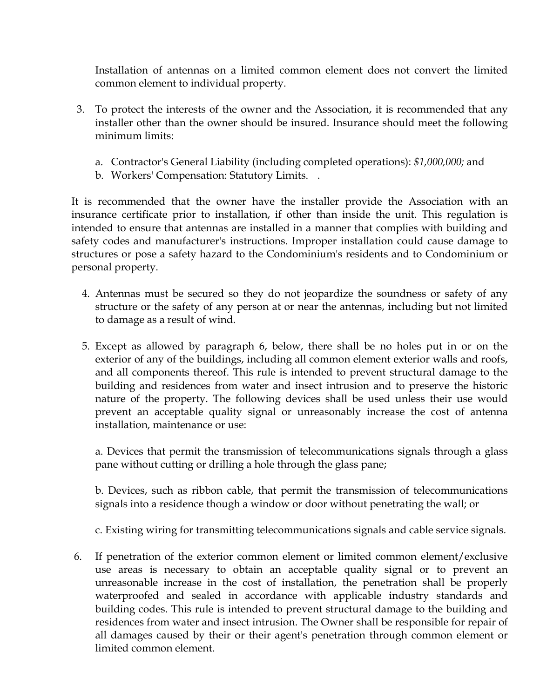Installation of antennas on a limited common element does not convert the limited common element to individual property.

- 3. To protect the interests of the owner and the Association, it is recommended that any installer other than the owner should be insured. Insurance should meet the following minimum limits:
	- a. Contractor's General Liability (including completed operations): *\$1,000,000;* and
	- b. Workers' Compensation: Statutory Limits. .

It is recommended that the owner have the installer provide the Association with an insurance certificate prior to installation, if other than inside the unit. This regulation is intended to ensure that antennas are installed in a manner that complies with building and safety codes and manufacturer's instructions. Improper installation could cause damage to structures or pose a safety hazard to the Condominium's residents and to Condominium or personal property.

- 4. Antennas must be secured so they do not jeopardize the soundness or safety of any structure or the safety of any person at or near the antennas, including but not limited to damage as a result of wind.
- 5. Except as allowed by paragraph 6, below, there shall be no holes put in or on the exterior of any of the buildings, including all common element exterior walls and roofs, and all components thereof. This rule is intended to prevent structural damage to the building and residences from water and insect intrusion and to preserve the historic nature of the property. The following devices shall be used unless their use would prevent an acceptable quality signal or unreasonably increase the cost of antenna installation, maintenance or use:

a. Devices that permit the transmission of telecommunications signals through a glass pane without cutting or drilling a hole through the glass pane;

b. Devices, such as ribbon cable, that permit the transmission of telecommunications signals into a residence though a window or door without penetrating the wall; or

c. Existing wiring for transmitting telecommunications signals and cable service signals.

6. If penetration of the exterior common element or limited common element/exclusive use areas is necessary to obtain an acceptable quality signal or to prevent an unreasonable increase in the cost of installation, the penetration shall be properly waterproofed and sealed in accordance with applicable industry standards and building codes. This rule is intended to prevent structural damage to the building and residences from water and insect intrusion. The Owner shall be responsible for repair of all damages caused by their or their agent's penetration through common element or limited common element.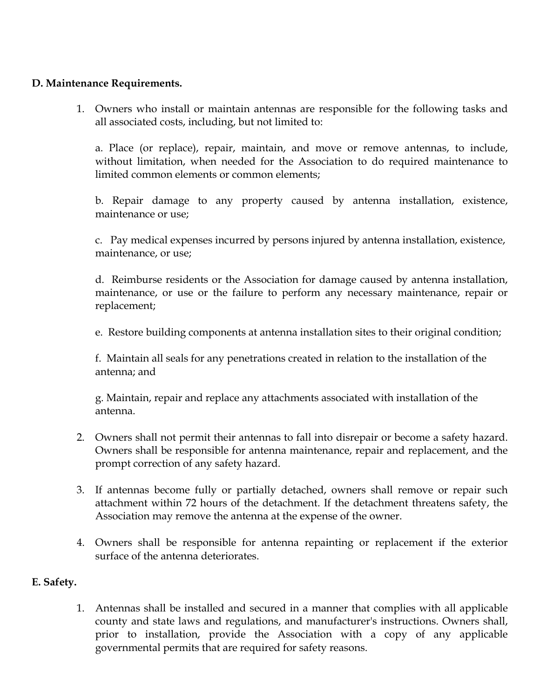## **D. Maintenance Requirements.**

 1. Owners who install or maintain antennas are responsible for the following tasks and all associated costs, including, but not limited to:

a. Place (or replace), repair, maintain, and move or remove antennas, to include, without limitation, when needed for the Association to do required maintenance to limited common elements or common elements;

b. Repair damage to any property caused by antenna installation, existence, maintenance or use;

c. Pay medical expenses incurred by persons injured by antenna installation, existence, maintenance, or use;

d. Reimburse residents or the Association for damage caused by antenna installation, maintenance, or use or the failure to perform any necessary maintenance, repair or replacement;

e. Restore building components at antenna installation sites to their original condition;

f. Maintain all seals for any penetrations created in relation to the installation of the antenna; and

g. Maintain, repair and replace any attachments associated with installation of the antenna.

- 2. Owners shall not permit their antennas to fall into disrepair or become a safety hazard. Owners shall be responsible for antenna maintenance, repair and replacement, and the prompt correction of any safety hazard.
- 3. If antennas become fully or partially detached, owners shall remove or repair such attachment within 72 hours of the detachment. If the detachment threatens safety, the Association may remove the antenna at the expense of the owner.
- 4. Owners shall be responsible for antenna repainting or replacement if the exterior surface of the antenna deteriorates.

## **E. Safety.**

1. Antennas shall be installed and secured in a manner that complies with all applicable county and state laws and regulations, and manufacturer's instructions. Owners shall, prior to installation, provide the Association with a copy of any applicable governmental permits that are required for safety reasons.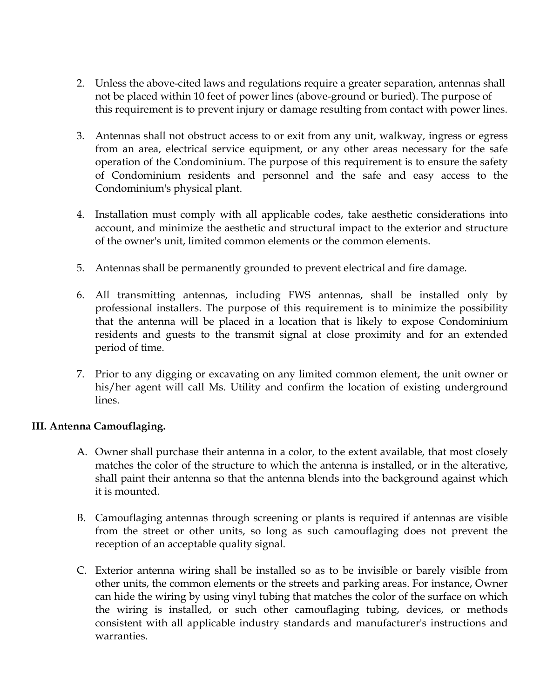- 2. Unless the above-cited laws and regulations require a greater separation, antennas shall not be placed within 10 feet of power lines (above-ground or buried). The purpose of this requirement is to prevent injury or damage resulting from contact with power lines.
- 3. Antennas shall not obstruct access to or exit from any unit, walkway, ingress or egress from an area, electrical service equipment, or any other areas necessary for the safe operation of the Condominium. The purpose of this requirement is to ensure the safety of Condominium residents and personnel and the safe and easy access to the Condominium's physical plant.
- 4. Installation must comply with all applicable codes, take aesthetic considerations into account, and minimize the aesthetic and structural impact to the exterior and structure of the owner's unit, limited common elements or the common elements.
- 5. Antennas shall be permanently grounded to prevent electrical and fire damage.
- 6. All transmitting antennas, including FWS antennas, shall be installed only by professional installers. The purpose of this requirement is to minimize the possibility that the antenna will be placed in a location that is likely to expose Condominium residents and guests to the transmit signal at close proximity and for an extended period of time.
- 7. Prior to any digging or excavating on any limited common element, the unit owner or his/her agent will call Ms. Utility and confirm the location of existing underground lines.

## **III. Antenna Camouflaging.**

- A. Owner shall purchase their antenna in a color, to the extent available, that most closely matches the color of the structure to which the antenna is installed, or in the alterative, shall paint their antenna so that the antenna blends into the background against which it is mounted.
- B. Camouflaging antennas through screening or plants is required if antennas are visible from the street or other units, so long as such camouflaging does not prevent the reception of an acceptable quality signal.
- C. Exterior antenna wiring shall be installed so as to be invisible or barely visible from other units, the common elements or the streets and parking areas. For instance, Owner can hide the wiring by using vinyl tubing that matches the color of the surface on which the wiring is installed, or such other camouflaging tubing, devices, or methods consistent with all applicable industry standards and manufacturer's instructions and warranties.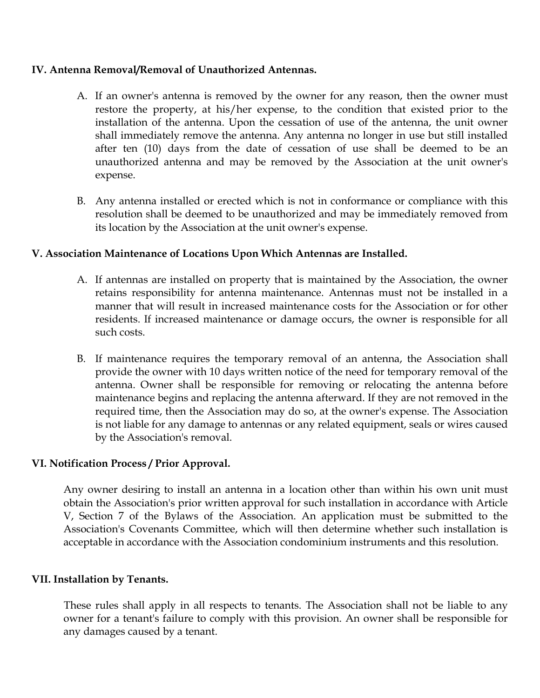## **IV. Antenna Removal/Removal of Unauthorized Antennas.**

- A. If an owner's antenna is removed by the owner for any reason, then the owner must restore the property, at his/her expense, to the condition that existed prior to the installation of the antenna. Upon the cessation of use of the antenna, the unit owner shall immediately remove the antenna. Any antenna no longer in use but still installed after ten (10) days from the date of cessation of use shall be deemed to be an unauthorized antenna and may be removed by the Association at the unit owner's expense.
- B. Any antenna installed or erected which is not in conformance or compliance with this resolution shall be deemed to be unauthorized and may be immediately removed from its location by the Association at the unit owner's expense.

## **V. Association Maintenance of Locations Upon Which Antennas are Installed.**

- A. If antennas are installed on property that is maintained by the Association, the owner retains responsibility for antenna maintenance. Antennas must not be installed in a manner that will result in increased maintenance costs for the Association or for other residents. If increased maintenance or damage occurs, the owner is responsible for all such costs.
- B. If maintenance requires the temporary removal of an antenna, the Association shall provide the owner with 10 days written notice of the need for temporary removal of the antenna. Owner shall be responsible for removing or relocating the antenna before maintenance begins and replacing the antenna afterward. If they are not removed in the required time, then the Association may do so, at the owner's expense. The Association is not liable for any damage to antennas or any related equipment, seals or wires caused by the Association's removal.

## **VI. Notification Process / Prior Approval.**

Any owner desiring to install an antenna in a location other than within his own unit must obtain the Association's prior written approval for such installation in accordance with Article V, Section 7 of the Bylaws of the Association. An application must be submitted to the Association's Covenants Committee, which will then determine whether such installation is acceptable in accordance with the Association condominium instruments and this resolution.

#### **VII. Installation by Tenants.**

These rules shall apply in all respects to tenants. The Association shall not be liable to any owner for a tenant's failure to comply with this provision. An owner shall be responsible for any damages caused by a tenant.